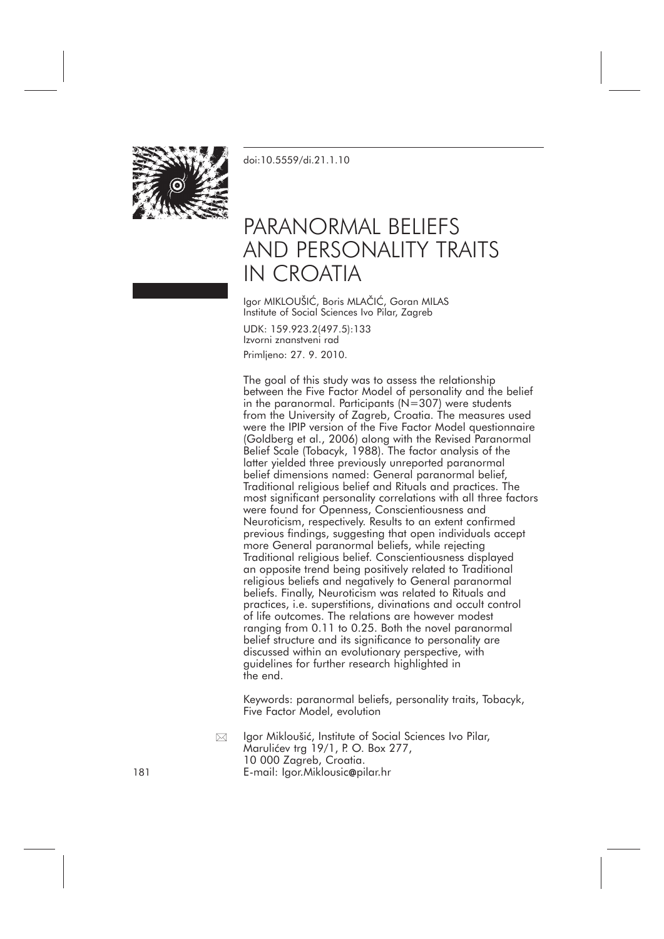

[doi:10.5559/di.21.1.10](http://dx.doi.org/10.5559/di.21.1.10)

# PARANORMAL BELIEFS AND PERSONALITY TRAITS IN CROATIA

Igor MIKLOUŠIĆ, Boris MLAČIĆ, Goran MILAS Institute of Social Sciences Ivo Pilar, Zagreb

UDK: 159.923.2(497.5):133 Izvorni znanstveni rad Primljeno: 27. 9. 2010.

The goal of this study was to assess the relationship between the Five Factor Model of personality and the belief in the paranormal. Participants  $(N=307)$  were students from the University of Zagreb, Croatia. The measures used were the IPIP version of the Five Factor Model questionnaire (Goldberg et al., 2006) along with the Revised Paranormal Belief Scale (Tobacyk, 1988). The factor analysis of the latter yielded three previously unreported paranormal belief dimensions named: General paranormal belief, Traditional religious belief and Rituals and practices. The most significant personality correlations with all three factors were found for Openness, Conscientiousness and Neuroticism, respectively. Results to an extent confirmed previous findings, suggesting that open individuals accept more General paranormal beliefs, while rejecting Traditional religious belief. Conscientiousness displayed an opposite trend being positively related to Traditional religious beliefs and negatively to General paranormal beliefs. Finally, Neuroticism was related to Rituals and practices, i.e. superstitions, divinations and occult control of life outcomes. The relations are however modest ranging from 0.11 to 0.25. Both the novel paranormal belief structure and its significance to personality are discussed within an evolutionary perspective, with guidelines for further research highlighted in the end.

Keywords: paranormal beliefs, personality traits, Tobacyk, Five Factor Model, evolution

Igor Mikloušić, Institute of Social Sciences Ivo Pilar, Marulićev trg 19/1, P. O. Box 277, 10 000 Zagreb, Croatia. 181 E-mail: Igor.Miklousic**@**pilar.hr  $\boxtimes$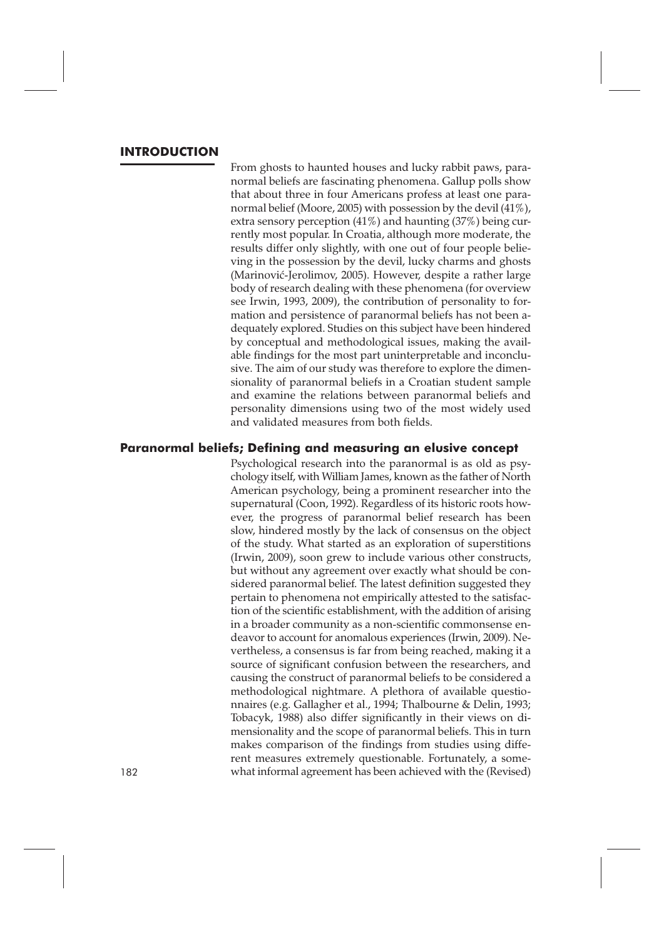# **INTRODUCTION**

From ghosts to haunted houses and lucky rabbit paws, paranormal beliefs are fascinating phenomena. Gallup polls show that about three in four Americans profess at least one paranormal belief (Moore, 2005) with possession by the devil (41%), extra sensory perception (41%) and haunting (37%) being currently most popular. In Croatia, although more moderate, the results differ only slightly, with one out of four people believing in the possession by the devil, lucky charms and ghosts (Marinović-Jerolimov, 2005). However, despite a rather large body of research dealing with these phenomena (for overview see Irwin, 1993, 2009), the contribution of personality to formation and persistence of paranormal beliefs has not been adequately explored. Studies on this subject have been hindered by conceptual and methodological issues, making the available findings for the most part uninterpretable and inconclusive. The aim of our study was therefore to explore the dimensionality of paranormal beliefs in a Croatian student sample and examine the relations between paranormal beliefs and personality dimensions using two of the most widely used and validated measures from both fields.

#### **Paranormal beliefs; Defining and measuring an elusive concept**

Psychological research into the paranormal is as old as psychology itself, with William James, known as the father of North American psychology, being a prominent researcher into the supernatural (Coon, 1992). Regardless of its historic roots however, the progress of paranormal belief research has been slow, hindered mostly by the lack of consensus on the object of the study. What started as an exploration of superstitions (Irwin, 2009), soon grew to include various other constructs, but without any agreement over exactly what should be considered paranormal belief. The latest definition suggested they pertain to phenomena not empirically attested to the satisfaction of the scientific establishment, with the addition of arising in a broader community as a non-scientific commonsense endeavor to account for anomalous experiences (Irwin, 2009). Nevertheless, a consensus is far from being reached, making it a source of significant confusion between the researchers, and causing the construct of paranormal beliefs to be considered a methodological nightmare. A plethora of available questionnaires (e.g. Gallagher et al., 1994; Thalbourne & Delin, 1993; Tobacyk, 1988) also differ significantly in their views on dimensionality and the scope of paranormal beliefs. This in turn makes comparison of the findings from studies using different measures extremely questionable. Fortunately, a some-182 what informal agreement has been achieved with the (Revised)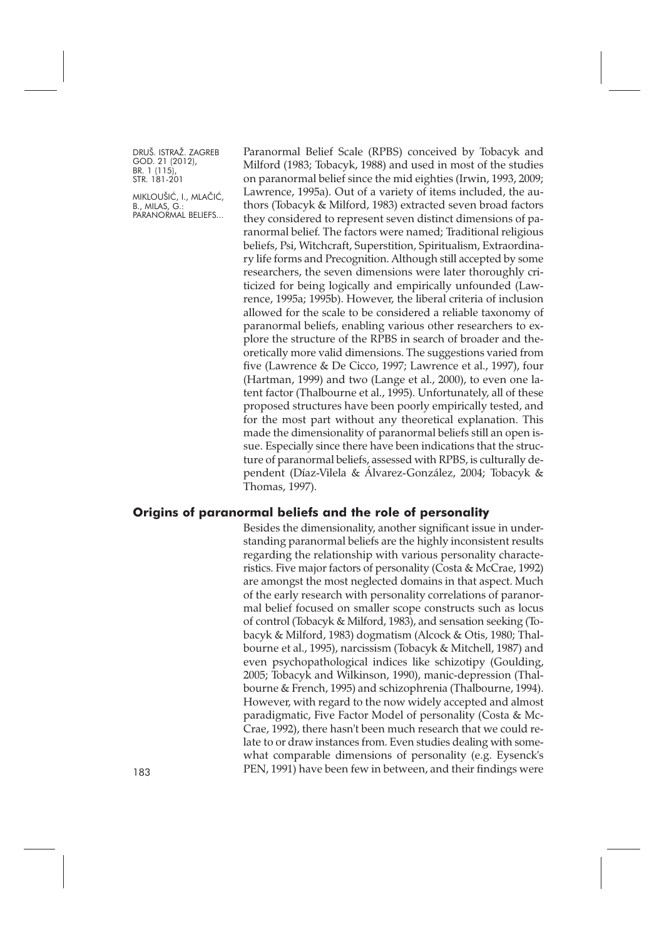MIKLOUŠIĆ, I., MLAČIĆ, B., MILAS, G.: PARANORMAL BELIEFS... Paranormal Belief Scale (RPBS) conceived by Tobacyk and Milford (1983; Tobacyk, 1988) and used in most of the studies on paranormal belief since the mid eighties (Irwin, 1993, 2009; Lawrence, 1995a). Out of a variety of items included, the authors (Tobacyk & Milford, 1983) extracted seven broad factors they considered to represent seven distinct dimensions of paranormal belief. The factors were named; Traditional religious beliefs, Psi, Witchcraft, Superstition, Spiritualism, Extraordinary life forms and Precognition. Although still accepted by some researchers, the seven dimensions were later thoroughly criticized for being logically and empirically unfounded (Lawrence, 1995a; 1995b). However, the liberal criteria of inclusion allowed for the scale to be considered a reliable taxonomy of paranormal beliefs, enabling various other researchers to explore the structure of the RPBS in search of broader and theoretically more valid dimensions. The suggestions varied from five (Lawrence & De Cicco, 1997; Lawrence et al., 1997), four (Hartman, 1999) and two (Lange et al., 2000), to even one latent factor (Thalbourne et al., 1995). Unfortunately, all of these proposed structures have been poorly empirically tested, and for the most part without any theoretical explanation. This made the dimensionality of paranormal beliefs still an open issue. Especially since there have been indications that the structure of paranormal beliefs, assessed with RPBS, is culturally dependent (Díaz-Vilela & Álvarez-González, 2004; Tobacyk & Thomas, 1997).

#### **Origins of paranormal beliefs and the role of personality**

Besides the dimensionality, another significant issue in understanding paranormal beliefs are the highly inconsistent results regarding the relationship with various personality characteristics. Five major factors of personality (Costa & McCrae, 1992) are amongst the most neglected domains in that aspect. Much of the early research with personality correlations of paranormal belief focused on smaller scope constructs such as locus of control (Tobacyk & Milford, 1983), and sensation seeking (Tobacyk & Milford, 1983) dogmatism (Alcock & Otis, 1980; Thalbourne et al., 1995), narcissism (Tobacyk & Mitchell, 1987) and even psychopathological indices like schizotipy (Goulding, 2005; Tobacyk and Wilkinson, 1990), manic-depression (Thalbourne & French, 1995) and schizophrenia (Thalbourne, 1994). However, with regard to the now widely accepted and almost paradigmatic, Five Factor Model of personality (Costa & Mc-Crae, 1992), there hasn't been much research that we could relate to or draw instances from. Even studies dealing with somewhat comparable dimensions of personality (e.g. Eysenck's 183 PEN, 1991) have been few in between, and their findings were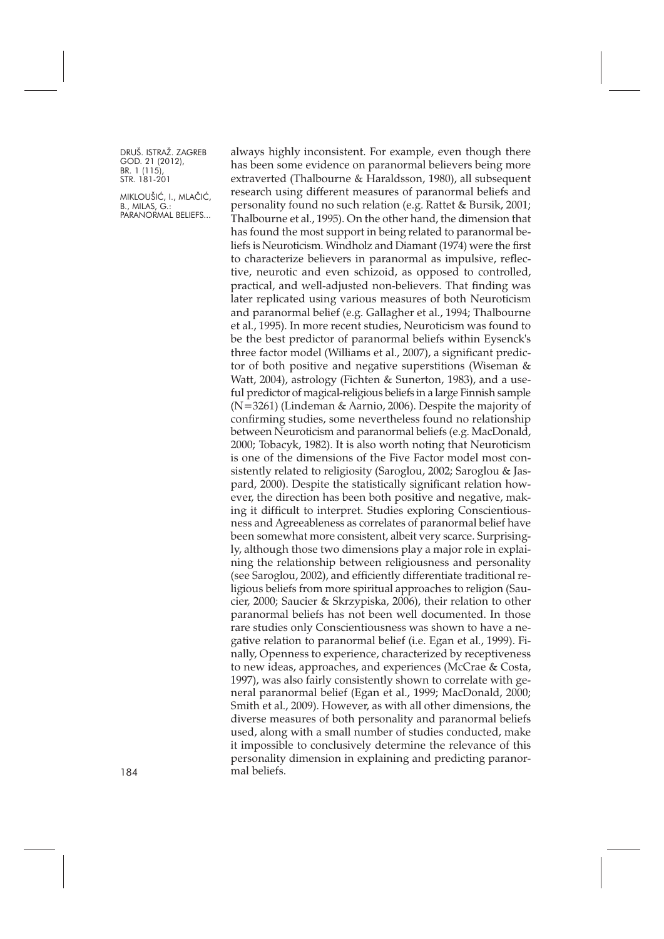MIKLOUŠIĆ, I., MLAČIĆ, B., MILAS, G.: PARANORMAL BELIEFS...

always highly inconsistent. For example, even though there has been some evidence on paranormal believers being more extraverted (Thalbourne & Haraldsson, 1980), all subsequent research using different measures of paranormal beliefs and personality found no such relation (e.g. Rattet & Bursik, 2001; Thalbourne et al., 1995). On the other hand, the dimension that has found the most support in being related to paranormal beliefs is Neuroticism. Windholz and Diamant (1974) were the first to characterize believers in paranormal as impulsive, reflective, neurotic and even schizoid, as opposed to controlled, practical, and well-adjusted non-believers. That finding was later replicated using various measures of both Neuroticism and paranormal belief (e.g. Gallagher et al., 1994; Thalbourne et al., 1995). In more recent studies, Neuroticism was found to be the best predictor of paranormal beliefs within Eysenck's three factor model (Williams et al., 2007), a significant predictor of both positive and negative superstitions (Wiseman & Watt, 2004), astrology (Fichten & Sunerton, 1983), and a useful predictor of magical-religious beliefs in a large Finnish sample (N=3261) (Lindeman & Aarnio, 2006). Despite the majority of confirming studies, some nevertheless found no relationship between Neuroticism and paranormal beliefs (e.g. MacDonald, 2000; Tobacyk, 1982). It is also worth noting that Neuroticism is one of the dimensions of the Five Factor model most consistently related to religiosity (Saroglou, 2002; Saroglou & Jaspard, 2000). Despite the statistically significant relation however, the direction has been both positive and negative, making it difficult to interpret. Studies exploring Conscientiousness and Agreeableness as correlates of paranormal belief have been somewhat more consistent, albeit very scarce. Surprisingly, although those two dimensions play a major role in explaining the relationship between religiousness and personality (see Saroglou, 2002), and efficiently differentiate traditional religious beliefs from more spiritual approaches to religion (Saucier, 2000; Saucier & Skrzypiska, 2006), their relation to other paranormal beliefs has not been well documented. In those rare studies only Conscientiousness was shown to have a negative relation to paranormal belief (i.e. Egan et al., 1999). Finally, Openness to experience, characterized by receptiveness to new ideas, approaches, and experiences (McCrae & Costa, 1997), was also fairly consistently shown to correlate with general paranormal belief (Egan et al., 1999; MacDonald, 2000; Smith et al., 2009). However, as with all other dimensions, the diverse measures of both personality and paranormal beliefs used, along with a small number of studies conducted, make it impossible to conclusively determine the relevance of this personality dimension in explaining and predicting paranor-184 mal beliefs.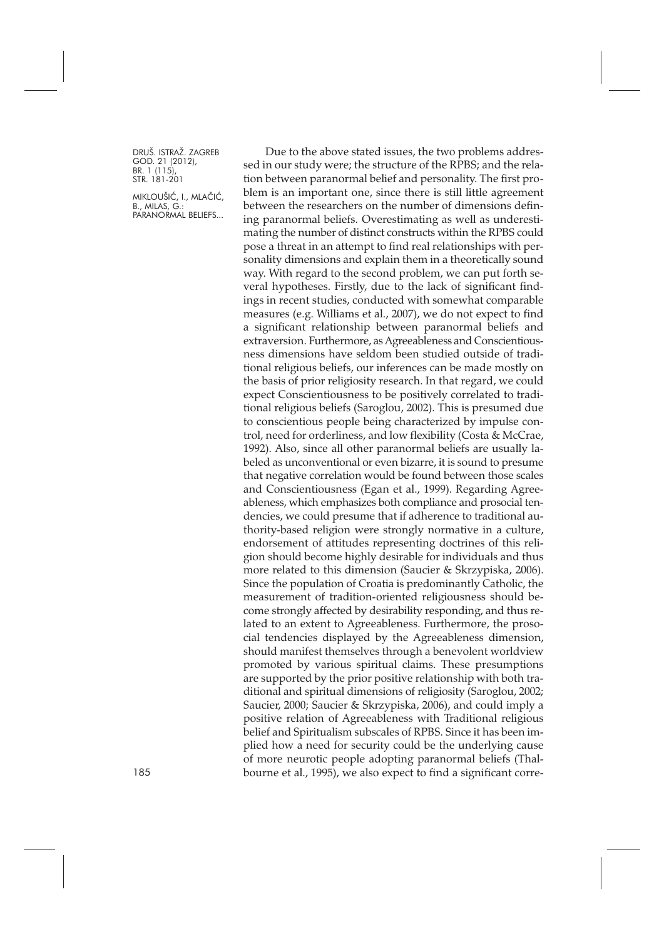MIKLOUŠIĆ, I., MLAČIĆ, B., MILAS, G.: PARANORMAL BELIEFS...

Due to the above stated issues, the two problems addressed in our study were; the structure of the RPBS; and the relation between paranormal belief and personality. The first problem is an important one, since there is still little agreement between the researchers on the number of dimensions defining paranormal beliefs. Overestimating as well as underestimating the number of distinct constructs within the RPBS could pose a threat in an attempt to find real relationships with personality dimensions and explain them in a theoretically sound way. With regard to the second problem, we can put forth several hypotheses. Firstly, due to the lack of significant findings in recent studies, conducted with somewhat comparable measures (e.g. Williams et al., 2007), we do not expect to find a significant relationship between paranormal beliefs and extraversion. Furthermore, as Agreeableness and Conscientiousness dimensions have seldom been studied outside of traditional religious beliefs, our inferences can be made mostly on the basis of prior religiosity research. In that regard, we could expect Conscientiousness to be positively correlated to traditional religious beliefs (Saroglou, 2002). This is presumed due to conscientious people being characterized by impulse control, need for orderliness, and low flexibility (Costa & McCrae, 1992). Also, since all other paranormal beliefs are usually labeled as unconventional or even bizarre, it is sound to presume that negative correlation would be found between those scales and Conscientiousness (Egan et al., 1999). Regarding Agreeableness, which emphasizes both compliance and prosocial tendencies, we could presume that if adherence to traditional authority-based religion were strongly normative in a culture, endorsement of attitudes representing doctrines of this religion should become highly desirable for individuals and thus more related to this dimension (Saucier & Skrzypiska, 2006). Since the population of Croatia is predominantly Catholic, the measurement of tradition-oriented religiousness should become strongly affected by desirability responding, and thus related to an extent to Agreeableness. Furthermore, the prosocial tendencies displayed by the Agreeableness dimension, should manifest themselves through a benevolent worldview promoted by various spiritual claims. These presumptions are supported by the prior positive relationship with both traditional and spiritual dimensions of religiosity (Saroglou, 2002; Saucier, 2000; Saucier & Skrzypiska, 2006), and could imply a positive relation of Agreeableness with Traditional religious belief and Spiritualism subscales of RPBS. Since it has been implied how a need for security could be the underlying cause of more neurotic people adopting paranormal beliefs (Thal-185 bourne et al., 1995), we also expect to find a significant corre-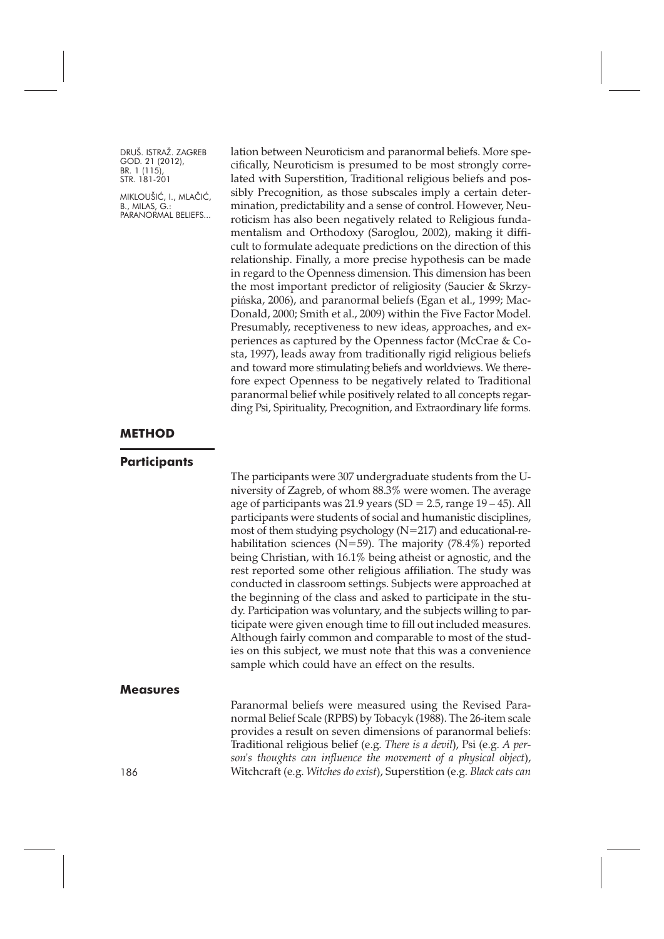MIKLOUŠIĆ, I., MLAČIĆ, B., MILAS, G.: PARANORMAL BELIEFS... lation between Neuroticism and paranormal beliefs. More specifically, Neuroticism is presumed to be most strongly correlated with Superstition, Traditional religious beliefs and possibly Precognition, as those subscales imply a certain determination, predictability and a sense of control. However, Neuroticism has also been negatively related to Religious fundamentalism and Orthodoxy (Saroglou, 2002), making it difficult to formulate adequate predictions on the direction of this relationship. Finally, a more precise hypothesis can be made in regard to the Openness dimension. This dimension has been the most important predictor of religiosity (Saucier & Skrzypińska, 2006), and paranormal beliefs (Egan et al., 1999; Mac-Donald, 2000; Smith et al., 2009) within the Five Factor Model. Presumably, receptiveness to new ideas, approaches, and experiences as captured by the Openness factor (McCrae & Costa, 1997), leads away from traditionally rigid religious beliefs and toward more stimulating beliefs and worldviews. We therefore expect Openness to be negatively related to Traditional paranormal belief while positively related to all concepts regarding Psi, Spirituality, Precognition, and Extraordinary life forms.

#### **METHOD**

#### **Participants**

The participants were 307 undergraduate students from the University of Zagreb, of whom 88.3% were women. The average age of participants was 21.9 years (SD = 2.5, range 19 – 45). All participants were students of social and humanistic disciplines, most of them studying psychology  $(N=217)$  and educational-rehabilitation sciences (N=59). The majority (78.4%) reported being Christian, with 16.1% being atheist or agnostic, and the rest reported some other religious affiliation. The study was conducted in classroom settings. Subjects were approached at the beginning of the class and asked to participate in the study. Participation was voluntary, and the subjects willing to participate were given enough time to fill out included measures. Although fairly common and comparable to most of the studies on this subject, we must note that this was a convenience sample which could have an effect on the results.

#### **Measures**

Paranormal beliefs were measured using the Revised Paranormal Belief Scale (RPBS) by Tobacyk (1988). The 26-item scale provides a result on seven dimensions of paranormal beliefs: Traditional religious belief (e.g. *There is a devil*), Psi (e.g. *A person's thoughts can influence the movement of a physical object*), 186 Witchcraft (e.g. *Witches do exist*), Superstition (e.g. *Black cats can*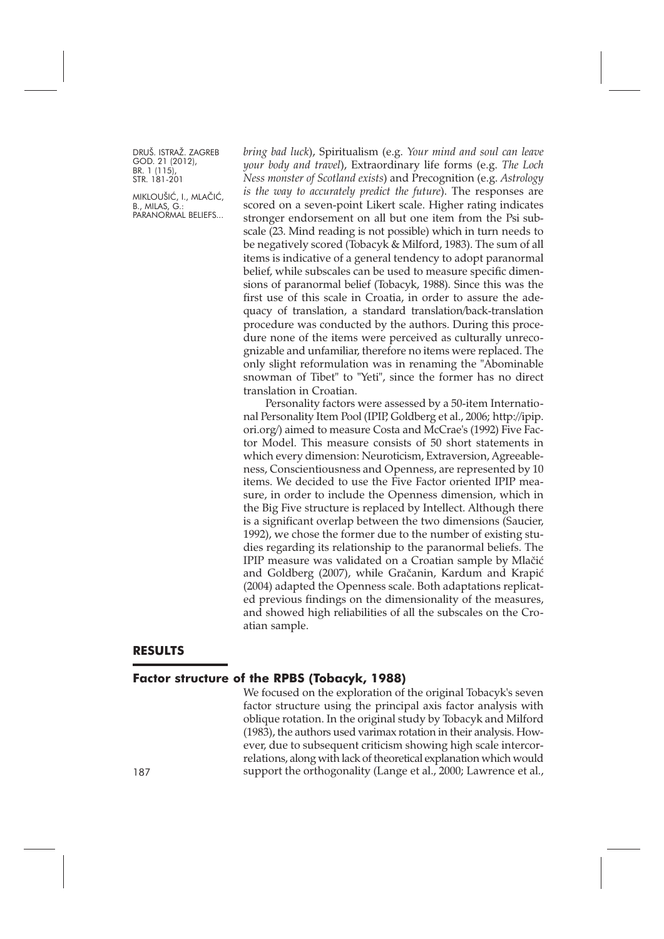MIKLOUŠIĆ, I., MLAČIĆ, B., MILAS, G.: PARANORMAL BELIEFS... *bring bad luck*), Spiritualism (e.g. *Your mind and soul can leave your body and travel*), Extraordinary life forms (e.g. *The Loch Ness monster of Scotland exists*) and Precognition (e.g. *Astrology is the way to accurately predict the future*). The responses are scored on a seven-point Likert scale. Higher rating indicates stronger endorsement on all but one item from the Psi subscale (23. Mind reading is not possible) which in turn needs to be negatively scored (Tobacyk & Milford, 1983). The sum of all items is indicative of a general tendency to adopt paranormal belief, while subscales can be used to measure specific dimensions of paranormal belief (Tobacyk, 1988). Since this was the first use of this scale in Croatia, in order to assure the adequacy of translation, a standard translation/back-translation procedure was conducted by the authors. During this procedure none of the items were perceived as culturally unrecognizable and unfamiliar, therefore no items were replaced. The only slight reformulation was in renaming the "Abominable snowman of Tibet" to "Yeti", since the former has no direct translation in Croatian.

Personality factors were assessed by a 50-item International Personality Item Pool (IPIP, Goldberg et al., 2006; http://ipip. ori.org/) aimed to measure Costa and McCrae's (1992) Five Factor Model. This measure consists of 50 short statements in which every dimension: Neuroticism, Extraversion, Agreeableness, Conscientiousness and Openness, are represented by 10 items. We decided to use the Five Factor oriented IPIP measure, in order to include the Openness dimension, which in the Big Five structure is replaced by Intellect. Although there is a significant overlap between the two dimensions (Saucier, 1992), we chose the former due to the number of existing studies regarding its relationship to the paranormal beliefs. The IPIP measure was validated on a Croatian sample by Mlačić and Goldberg (2007), while Gračanin, Kardum and Krapić (2004) adapted the Openness scale. Both adaptations replicated previous findings on the dimensionality of the measures, and showed high reliabilities of all the subscales on the Croatian sample.

#### **RESULTS**

#### **Factor structure of the RPBS (Tobacyk, 1988)**

We focused on the exploration of the original Tobacyk's seven factor structure using the principal axis factor analysis with oblique rotation. In the original study by Tobacyk and Milford (1983), the authors used varimax rotation in their analysis. However, due to subsequent criticism showing high scale intercorrelations, along with lack of theoretical explanation which would 187 support the orthogonality (Lange et al., 2000; Lawrence et al.,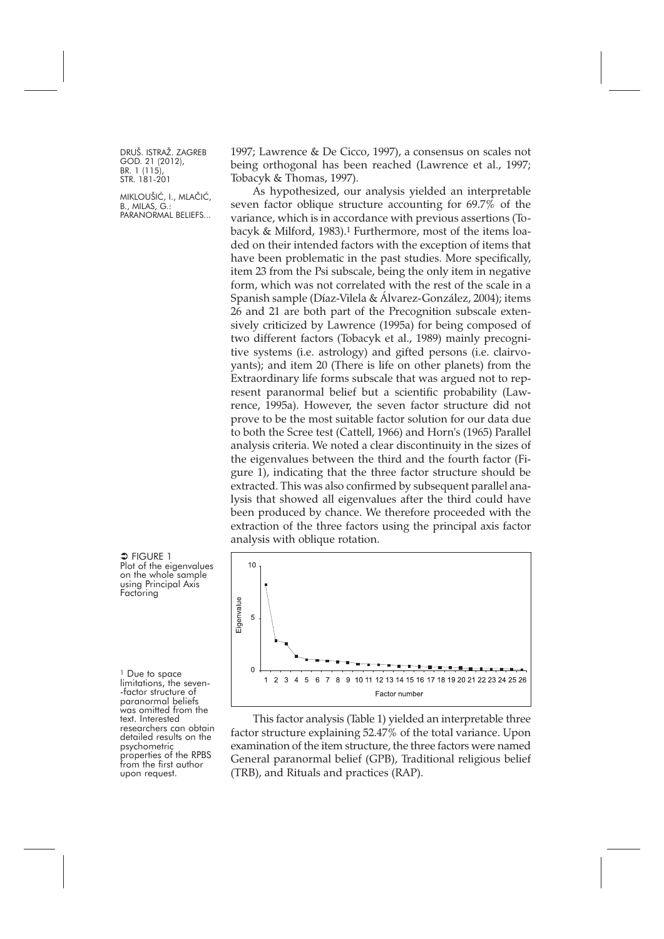MIKLOUŠIĆ, I., MLAČIĆ, B., MILAS, G.: PARANORMAL BELIEFS... 1997; Lawrence & De Cicco, 1997), a consensus on scales not being orthogonal has been reached (Lawrence et al., 1997; Tobacyk & Thomas, 1997).

As hypothesized, our analysis yielded an interpretable seven factor oblique structure accounting for 69.7% of the variance, which is in accordance with previous assertions (Tobacyk & Milford, 1983).1 Furthermore, most of the items loaded on their intended factors with the exception of items that have been problematic in the past studies. More specifically, item 23 from the Psi subscale, being the only item in negative form, which was not correlated with the rest of the scale in a Spanish sample (Díaz-Vilela & Álvarez-González, 2004); items 26 and 21 are both part of the Precognition subscale extensively criticized by Lawrence (1995a) for being composed of two different factors (Tobacyk et al., 1989) mainly precognitive systems (i.e. astrology) and gifted persons (i.e. clairvoyants); and item 20 (There is life on other planets) from the Extraordinary life forms subscale that was argued not to represent paranormal belief but a scientific probability (Lawrence, 1995a). However, the seven factor structure did not prove to be the most suitable factor solution for our data due to both the Scree test (Cattell, 1966) and Horn's (1965) Parallel analysis criteria. We noted a clear discontinuity in the sizes of the eigenvalues between the third and the fourth factor (Figure 1), indicating that the three factor structure should be extracted. This was also confirmed by subsequent parallel analysis that showed all eigenvalues after the third could have been produced by chance. We therefore proceeded with the extraction of the three factors using the principal axis factor analysis with oblique rotation.

 $\supset$  FIGURE 1 Plot of the eigenvalues<br>on the whole sample<br>using Principal Axis<br>Factoring

<sup>1</sup> Due to space<br>limitations, the seven-<br>-factor structure of<br>paranormal beliefs paranormal beliefs<br>was omitted from the<br>text. Interested<br>researchers can obtain<br>detailed results on the<br>psychometric<br>properties of the RPBS from the first author upon request.



This factor analysis (Table 1) yielded an interpretable three factor structure explaining 52.47% of the total variance. Upon examination of the item structure, the three factors were named General paranormal belief (GPB), Traditional religious belief (TRB), and Rituals and practices (RAP).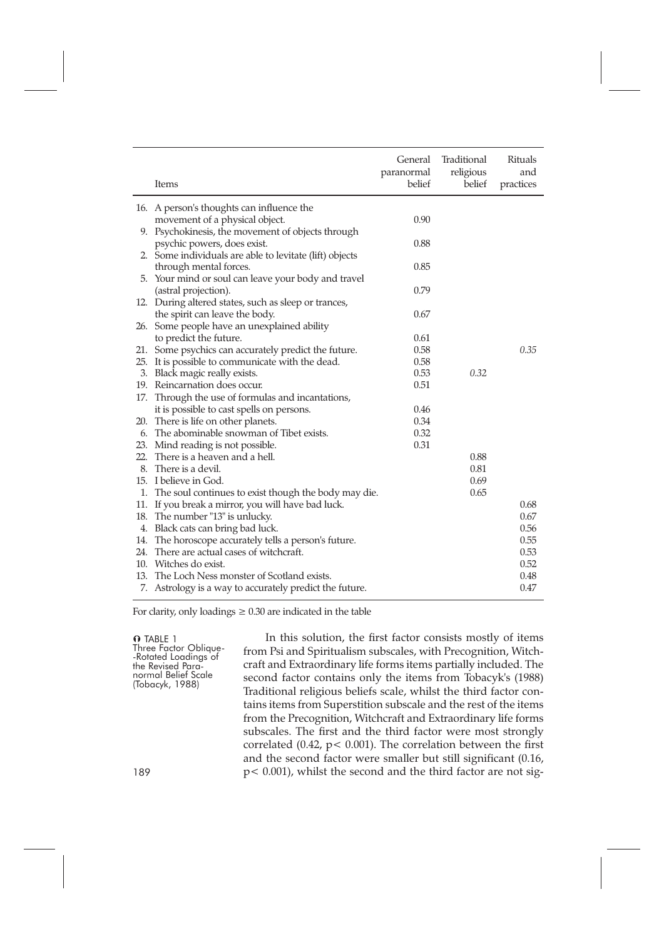|     | Items                                                                            | General<br>paranormal<br>belief | Traditional<br>religious<br>belief | Rituals<br>and<br>practices |
|-----|----------------------------------------------------------------------------------|---------------------------------|------------------------------------|-----------------------------|
|     | 16. A person's thoughts can influence the                                        |                                 |                                    |                             |
|     | movement of a physical object.                                                   | 0.90                            |                                    |                             |
|     | 9. Psychokinesis, the movement of objects through<br>psychic powers, does exist. | 0.88                            |                                    |                             |
|     | 2. Some individuals are able to levitate (lift) objects                          |                                 |                                    |                             |
|     | through mental forces.                                                           | 0.85                            |                                    |                             |
| 5.  | Your mind or soul can leave your body and travel                                 |                                 |                                    |                             |
|     | (astral projection).                                                             | 0.79                            |                                    |                             |
|     | 12. During altered states, such as sleep or trances,                             |                                 |                                    |                             |
|     | the spirit can leave the body.                                                   | 0.67                            |                                    |                             |
|     | 26. Some people have an unexplained ability                                      |                                 |                                    |                             |
|     | to predict the future.                                                           | 0.61                            |                                    |                             |
| 21. | Some psychics can accurately predict the future.                                 | 0.58                            |                                    | 0.35                        |
|     | 25. It is possible to communicate with the dead.                                 | 0.58                            |                                    |                             |
| 3.  | Black magic really exists.                                                       | 0.53                            | 0.32                               |                             |
|     | 19. Reincarnation does occur.                                                    | 0.51                            |                                    |                             |
| 17. | Through the use of formulas and incantations,                                    |                                 |                                    |                             |
|     | it is possible to cast spells on persons.                                        | 0.46                            |                                    |                             |
| 20. | There is life on other planets.                                                  | 0.34                            |                                    |                             |
| 6.  | The abominable snowman of Tibet exists.                                          | 0.32                            |                                    |                             |
|     | 23. Mind reading is not possible.                                                | 0.31                            |                                    |                             |
| 22. | There is a heaven and a hell.                                                    |                                 | 0.88                               |                             |
| 8.  | There is a devil.                                                                |                                 | 0.81                               |                             |
|     | 15. I believe in God.                                                            |                                 | 0.69                               |                             |
| 1.  | The soul continues to exist though the body may die.                             |                                 | 0.65                               |                             |
|     | 11. If you break a mirror, you will have bad luck.                               |                                 |                                    | 0.68                        |
| 18. | The number "13" is unlucky.                                                      |                                 |                                    | 0.67                        |
| 4.  | Black cats can bring bad luck.                                                   |                                 |                                    | 0.56                        |
| 14. | The horoscope accurately tells a person's future.                                |                                 |                                    | 0.55                        |
| 24. | There are actual cases of witchcraft.                                            |                                 |                                    | 0.53                        |
|     | 10. Witches do exist.                                                            |                                 |                                    | 0.52                        |
|     | 13. The Loch Ness monster of Scotland exists.                                    |                                 |                                    | 0.48                        |
|     | 7. Astrology is a way to accurately predict the future.                          |                                 |                                    | 0.47                        |

For clarity, only loadings  $\geq 0.30$  are indicated in the table

**O** TABLE 1<br>Three Factor Oblique--Rotated Loadings of<br>the Revised Paranormal Belief Scale<br>(Tobacyk, 1988)

In this solution, the first factor consists mostly of items from Psi and Spiritualism subscales, with Precognition, Witchcraft and Extraordinary life forms items partially included. The second factor contains only the items from Tobacyk's (1988) Traditional religious beliefs scale, whilst the third factor contains items from Superstition subscale and the rest of the items from the Precognition, Witchcraft and Extraordinary life forms subscales. The first and the third factor were most strongly correlated (0.42, p< 0.001). The correlation between the first and the second factor were smaller but still significant (0.16, 189 p< 0.001), whilst the second and the third factor are not sig-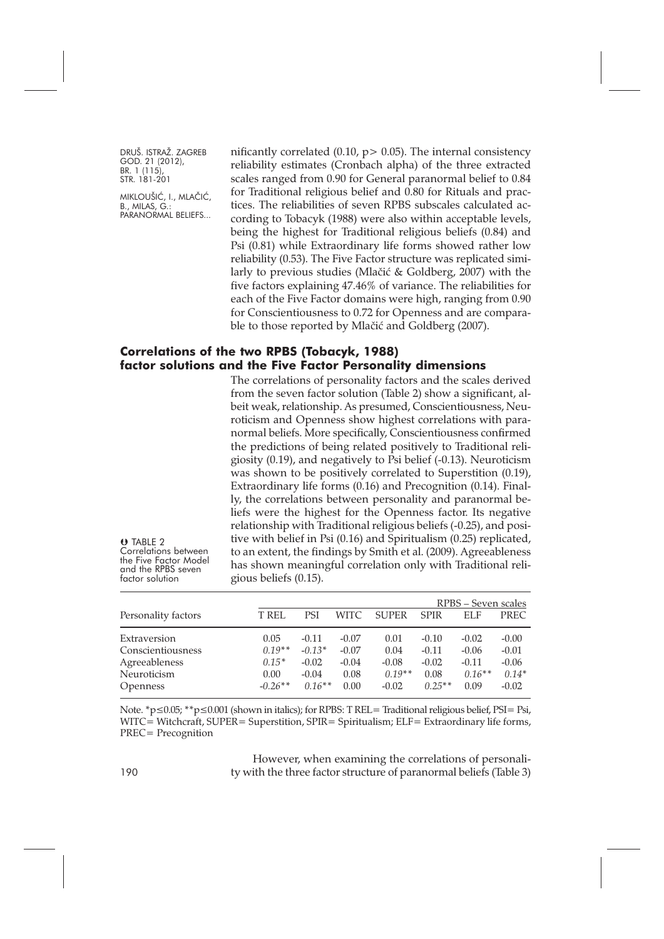MIKLOUŠIĆ, I., MLAČIĆ, B., MILAS, G.: PARANORMAL BELIEFS...

**O** TABLE 2<br>Correlations between

the Five Factor Model<br>and the RPBS seven<br>factor solution

nificantly correlated (0.10,  $p$  > 0.05). The internal consistency reliability estimates (Cronbach alpha) of the three extracted scales ranged from 0.90 for General paranormal belief to 0.84 for Traditional religious belief and 0.80 for Rituals and practices. The reliabilities of seven RPBS subscales calculated according to Tobacyk (1988) were also within acceptable levels, being the highest for Traditional religious beliefs (0.84) and Psi (0.81) while Extraordinary life forms showed rather low reliability (0.53). The Five Factor structure was replicated similarly to previous studies (Mlačić & Goldberg, 2007) with the five factors explaining 47.46% of variance. The reliabilities for each of the Five Factor domains were high, ranging from 0.90 for Conscientiousness to 0.72 for Openness and are comparable to those reported by Mlačić and Goldberg (2007).

# **Correlations of the two RPBS (Tobacyk, 1988) factor solutions and the Five Factor Personality dimensions**

The correlations of personality factors and the scales derived from the seven factor solution (Table 2) show a significant, albeit weak, relationship. As presumed, Conscientiousness, Neuroticism and Openness show highest correlations with paranormal beliefs. More specifically, Conscientiousness confirmed the predictions of being related positively to Traditional religiosity (0.19), and negatively to Psi belief (-0.13). Neuroticism was shown to be positively correlated to Superstition (0.19), Extraordinary life forms (0.16) and Precognition (0.14). Finally, the correlations between personality and paranormal beliefs were the highest for the Openness factor. Its negative relationship with Traditional religious beliefs (-0.25), and positive with belief in Psi (0.16) and Spiritualism (0.25) replicated, to an extent, the findings by Smith et al. (2009). Agreeableness has shown meaningful correlation only with Traditional religious beliefs (0.15).

| Personality factors | T REL     | PSI      | <b>WITC</b> | <b>SUPER</b> | <b>SPIR</b> | RPBS – Seven scales<br>ELF | <b>PREC</b> |
|---------------------|-----------|----------|-------------|--------------|-------------|----------------------------|-------------|
| Extraversion        | 0.05      | $-0.11$  | $-0.07$     | 0.01         | $-0.10$     | $-0.02$                    | $-0.00$     |
| Conscientiousness   | $0.19**$  | $-0.13*$ | $-0.07$     | 0.04         | $-0.11$     | $-0.06$                    | $-0.01$     |
| Agreeableness       | $0.15*$   | $-0.02$  | $-0.04$     | $-0.08$      | $-0.02$     | $-0.11$                    | $-0.06$     |
| Neuroticism         | 0.00      | $-0.04$  | 0.08        | $0.19**$     | 0.08        | $0.16**$                   | $0.14*$     |
| <b>Openness</b>     | $-0.26**$ | $0.16**$ | 0.00        | $-0.02$      | $0.25**$    | 0.09                       | $-0.02$     |

Note. \*p≤0.05; \*\*p≤0.001 (shown in italics); for RPBS: T REL= Traditional religious belief, PSI= Psi, WITC= Witchcraft, SUPER= Superstition, SPIR= Spiritualism; ELF= Extraordinary life forms, PREC= Precognition

However, when examining the correlations of personali-190 ty with the three factor structure of paranormal beliefs (Table 3)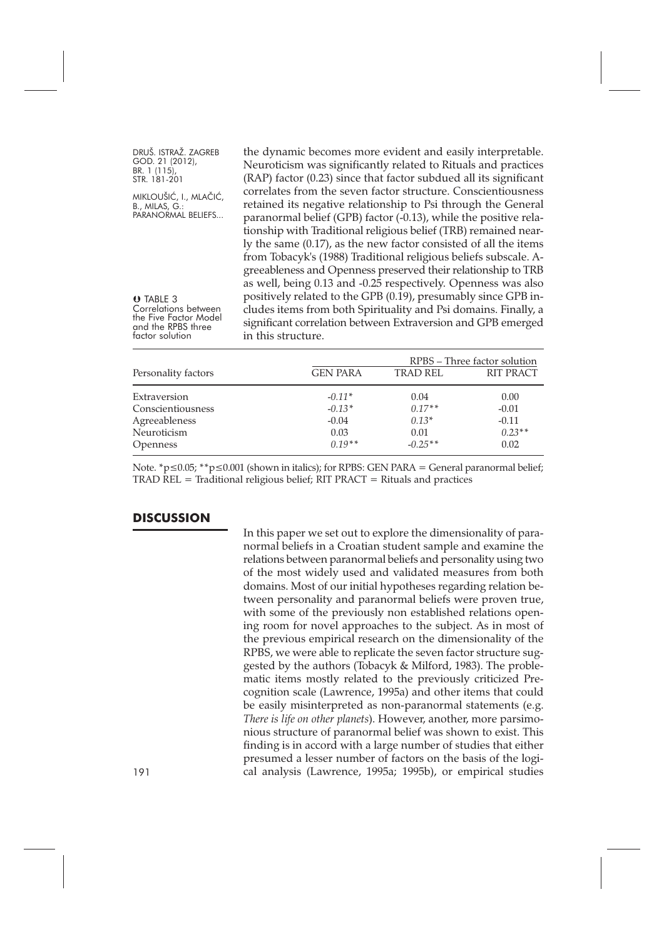| the Five Factor Model<br>and the RPBS three<br>factor solution          | cludes items from both Spirituality and Psi domains. Finally, a<br>significant correlation between Extraversion and GPB emerged<br>in this structure.                                                                                                                                                                                                                                                                                                                           |
|-------------------------------------------------------------------------|---------------------------------------------------------------------------------------------------------------------------------------------------------------------------------------------------------------------------------------------------------------------------------------------------------------------------------------------------------------------------------------------------------------------------------------------------------------------------------|
| $O$ TABLE 3<br>Correlations between                                     | paranormal belief (GPB) factor (-0.13), while the positive rela-<br>tionship with Traditional religious belief (TRB) remained near-<br>ly the same (0.17), as the new factor consisted of all the items<br>from Tobacyk's (1988) Traditional religious beliefs subscale. A-<br>greeableness and Openness preserved their relationship to TRB<br>as well, being 0.13 and -0.25 respectively. Openness was also<br>positively related to the GPB (0.19), presumably since GPB in- |
| MIKLOUŠIĆ, I., MLAČIĆ,<br>B., MILAS, G.:<br>PARANORMAL BELIEFS          | correlates from the seven factor structure. Conscientiousness<br>retained its negative relationship to Psi through the General                                                                                                                                                                                                                                                                                                                                                  |
| DRUŠ. ISTRAŽ. ZAGREB<br>GOD. 21 (2012),<br>BR. 1 (115),<br>STR. 181-201 | the dynamic becomes more evident and easily interpretable.<br>Neuroticism was significantly related to Rituals and practices<br>(RAP) factor (0.23) since that factor subdued all its significant                                                                                                                                                                                                                                                                               |

|                     | RPBS – Three factor solution |           |                  |  |  |  |
|---------------------|------------------------------|-----------|------------------|--|--|--|
| Personality factors | <b>GEN PARA</b>              | TRAD REL  | <b>RIT PRACT</b> |  |  |  |
| Extraversion        | $-0.11*$                     | 0.04      | 0.00             |  |  |  |
| Conscientiousness   | $-0.13*$                     | $0.17**$  | $-0.01$          |  |  |  |
| Agreeableness       | $-0.04$                      | $0.13*$   | $-0.11$          |  |  |  |
| Neuroticism         | 0.03                         | 0.01      | $0.23**$         |  |  |  |
| <b>Openness</b>     | $0.19**$                     | $-0.25**$ | 0.02             |  |  |  |

Note. \*p≤0.05; \*\*p≤0.001 (shown in italics); for RPBS: GEN PARA = General paranormal belief; TRAD REL = Traditional religious belief; RIT PRACT = Rituals and practices

### **DISCUSSION**

In this paper we set out to explore the dimensionality of paranormal beliefs in a Croatian student sample and examine the relations between paranormal beliefs and personality using two of the most widely used and validated measures from both domains. Most of our initial hypotheses regarding relation between personality and paranormal beliefs were proven true, with some of the previously non established relations opening room for novel approaches to the subject. As in most of the previous empirical research on the dimensionality of the RPBS, we were able to replicate the seven factor structure suggested by the authors (Tobacyk & Milford, 1983). The problematic items mostly related to the previously criticized Precognition scale (Lawrence, 1995a) and other items that could be easily misinterpreted as non-paranormal statements (e.g. *There is life on other planets*). However, another, more parsimonious structure of paranormal belief was shown to exist. This finding is in accord with a large number of studies that either presumed a lesser number of factors on the basis of the logi-191 cal analysis (Lawrence, 1995a; 1995b), or empirical studies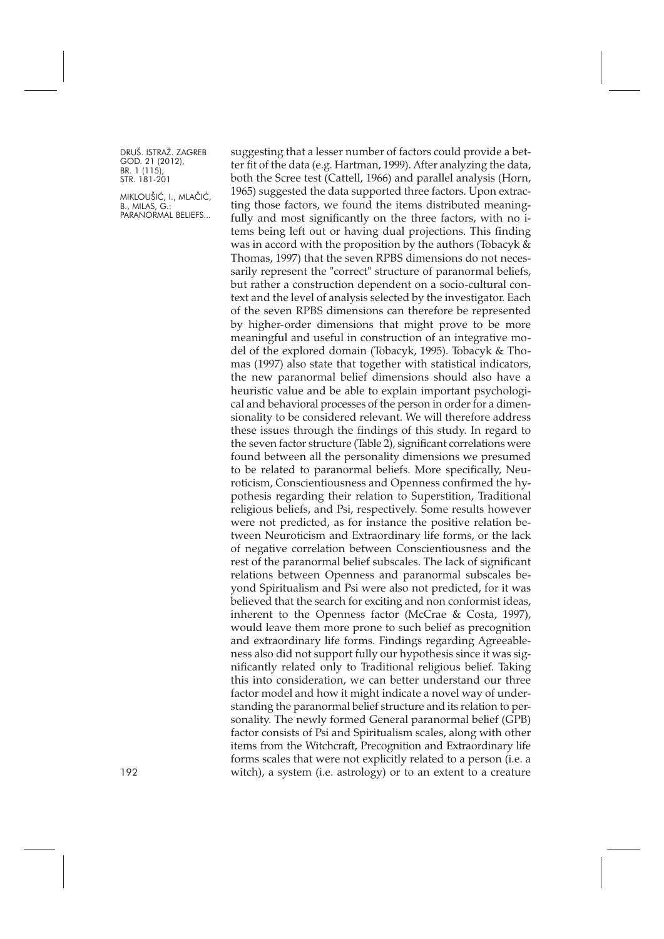MIKLOUŠIĆ, I., MLAČIĆ, B., MILAS, G.: PARANORMAL BELIEFS...

suggesting that a lesser number of factors could provide a better fit of the data (e.g. Hartman, 1999). After analyzing the data, both the Scree test (Cattell, 1966) and parallel analysis (Horn, 1965) suggested the data supported three factors. Upon extracting those factors, we found the items distributed meaningfully and most significantly on the three factors, with no items being left out or having dual projections. This finding was in accord with the proposition by the authors (Tobacyk & Thomas, 1997) that the seven RPBS dimensions do not necessarily represent the "correct" structure of paranormal beliefs, but rather a construction dependent on a socio-cultural context and the level of analysis selected by the investigator. Each of the seven RPBS dimensions can therefore be represented by higher-order dimensions that might prove to be more meaningful and useful in construction of an integrative model of the explored domain (Tobacyk, 1995). Tobacyk & Thomas (1997) also state that together with statistical indicators, the new paranormal belief dimensions should also have a heuristic value and be able to explain important psychological and behavioral processes of the person in order for a dimensionality to be considered relevant. We will therefore address these issues through the findings of this study. In regard to the seven factor structure (Table 2), significant correlations were found between all the personality dimensions we presumed to be related to paranormal beliefs. More specifically, Neuroticism, Conscientiousness and Openness confirmed the hypothesis regarding their relation to Superstition, Traditional religious beliefs, and Psi, respectively. Some results however were not predicted, as for instance the positive relation between Neuroticism and Extraordinary life forms, or the lack of negative correlation between Conscientiousness and the rest of the paranormal belief subscales. The lack of significant relations between Openness and paranormal subscales beyond Spiritualism and Psi were also not predicted, for it was believed that the search for exciting and non conformist ideas, inherent to the Openness factor (McCrae & Costa, 1997), would leave them more prone to such belief as precognition and extraordinary life forms. Findings regarding Agreeableness also did not support fully our hypothesis since it was significantly related only to Traditional religious belief. Taking this into consideration, we can better understand our three factor model and how it might indicate a novel way of understanding the paranormal belief structure and its relation to personality. The newly formed General paranormal belief (GPB) factor consists of Psi and Spiritualism scales, along with other items from the Witchcraft, Precognition and Extraordinary life forms scales that were not explicitly related to a person (i.e. a 192 witch), a system (i.e. astrology) or to an extent to a creature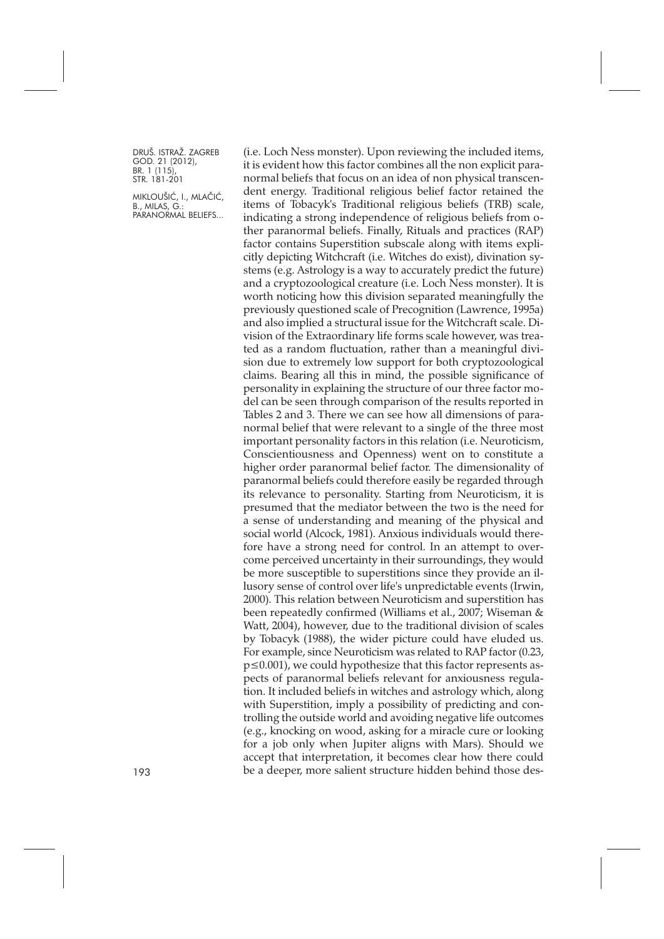MIKLOUŠIĆ, I., MLAČIĆ, B., MILAS, G.: PARANORMAL BELIEFS...

(i.e. Loch Ness monster). Upon reviewing the included items, it is evident how this factor combines all the non explicit paranormal beliefs that focus on an idea of non physical transcendent energy. Traditional religious belief factor retained the items of Tobacyk's Traditional religious beliefs (TRB) scale, indicating a strong independence of religious beliefs from other paranormal beliefs. Finally, Rituals and practices (RAP) factor contains Superstition subscale along with items explicitly depicting Witchcraft (i.e. Witches do exist), divination systems (e.g. Astrology is a way to accurately predict the future) and a cryptozoological creature (i.e. Loch Ness monster). It is worth noticing how this division separated meaningfully the previously questioned scale of Precognition (Lawrence, 1995a) and also implied a structural issue for the Witchcraft scale. Division of the Extraordinary life forms scale however, was treated as a random fluctuation, rather than a meaningful division due to extremely low support for both cryptozoological claims. Bearing all this in mind, the possible significance of personality in explaining the structure of our three factor model can be seen through comparison of the results reported in Tables 2 and 3. There we can see how all dimensions of paranormal belief that were relevant to a single of the three most important personality factors in this relation (i.e. Neuroticism, Conscientiousness and Openness) went on to constitute a higher order paranormal belief factor. The dimensionality of paranormal beliefs could therefore easily be regarded through its relevance to personality. Starting from Neuroticism, it is presumed that the mediator between the two is the need for a sense of understanding and meaning of the physical and social world (Alcock, 1981). Anxious individuals would therefore have a strong need for control. In an attempt to overcome perceived uncertainty in their surroundings, they would be more susceptible to superstitions since they provide an illusory sense of control over life's unpredictable events (Irwin, 2000). This relation between Neuroticism and superstition has been repeatedly confirmed (Williams et al., 2007; Wiseman & Watt, 2004), however, due to the traditional division of scales by Tobacyk (1988), the wider picture could have eluded us. For example, since Neuroticism was related to RAP factor (0.23, p≤0.001), we could hypothesize that this factor represents aspects of paranormal beliefs relevant for anxiousness regulation. It included beliefs in witches and astrology which, along with Superstition, imply a possibility of predicting and controlling the outside world and avoiding negative life outcomes (e.g., knocking on wood, asking for a miracle cure or looking for a job only when Jupiter aligns with Mars). Should we accept that interpretation, it becomes clear how there could 193 be a deeper, more salient structure hidden behind those des-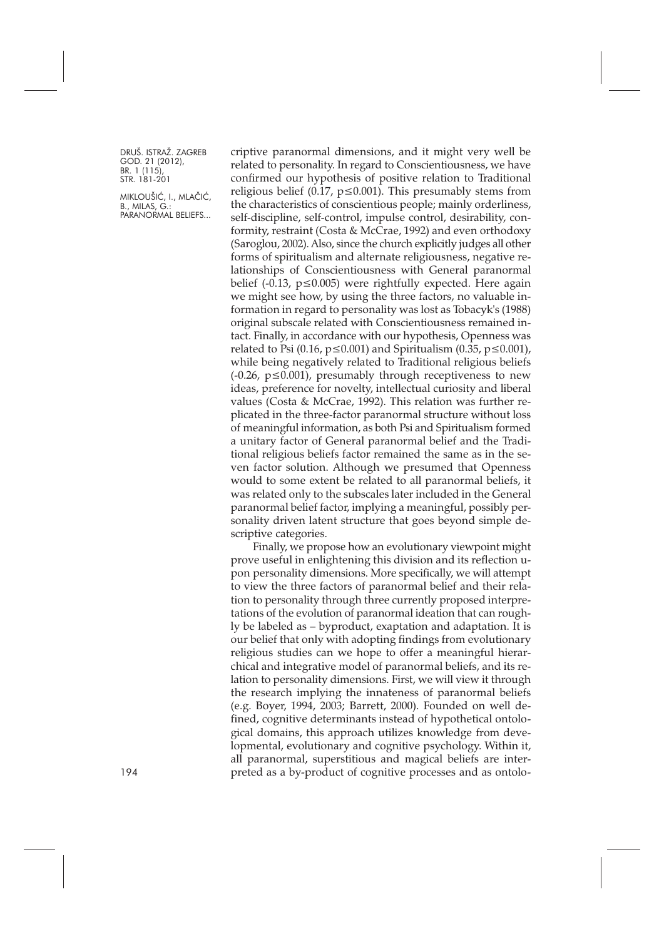MIKLOUŠIĆ, I., MLAČIĆ, B., MILAS, G.: PARANORMAL BELIEFS... criptive paranormal dimensions, and it might very well be related to personality. In regard to Conscientiousness, we have confirmed our hypothesis of positive relation to Traditional religious belief (0.17,  $p \le 0.001$ ). This presumably stems from the characteristics of conscientious people; mainly orderliness, self-discipline, self-control, impulse control, desirability, conformity, restraint (Costa & McCrae, 1992) and even orthodoxy (Saroglou, 2002). Also, since the church explicitly judges all other forms of spiritualism and alternate religiousness, negative relationships of Conscientiousness with General paranormal belief (-0.13, p≤0.005) were rightfully expected. Here again we might see how, by using the three factors, no valuable information in regard to personality was lost as Tobacyk's (1988) original subscale related with Conscientiousness remained intact. Finally, in accordance with our hypothesis, Openness was related to Psi (0.16,  $p \le 0.001$ ) and Spiritualism (0.35,  $p \le 0.001$ ), while being negatively related to Traditional religious beliefs  $(-0.26, p \le 0.001)$ , presumably through receptiveness to new ideas, preference for novelty, intellectual curiosity and liberal values (Costa & McCrae, 1992). This relation was further replicated in the three-factor paranormal structure without loss of meaningful information, as both Psi and Spiritualism formed a unitary factor of General paranormal belief and the Traditional religious beliefs factor remained the same as in the seven factor solution. Although we presumed that Openness would to some extent be related to all paranormal beliefs, it was related only to the subscales later included in the General paranormal belief factor, implying a meaningful, possibly personality driven latent structure that goes beyond simple descriptive categories.

Finally, we propose how an evolutionary viewpoint might prove useful in enlightening this division and its reflection upon personality dimensions. More specifically, we will attempt to view the three factors of paranormal belief and their relation to personality through three currently proposed interpretations of the evolution of paranormal ideation that can roughly be labeled as – byproduct, exaptation and adaptation. It is our belief that only with adopting findings from evolutionary religious studies can we hope to offer a meaningful hierarchical and integrative model of paranormal beliefs, and its relation to personality dimensions. First, we will view it through the research implying the innateness of paranormal beliefs (e.g. Boyer, 1994, 2003; Barrett, 2000). Founded on well defined, cognitive determinants instead of hypothetical ontological domains, this approach utilizes knowledge from developmental, evolutionary and cognitive psychology. Within it, all paranormal, superstitious and magical beliefs are inter-194 preted as a by-product of cognitive processes and as ontolo-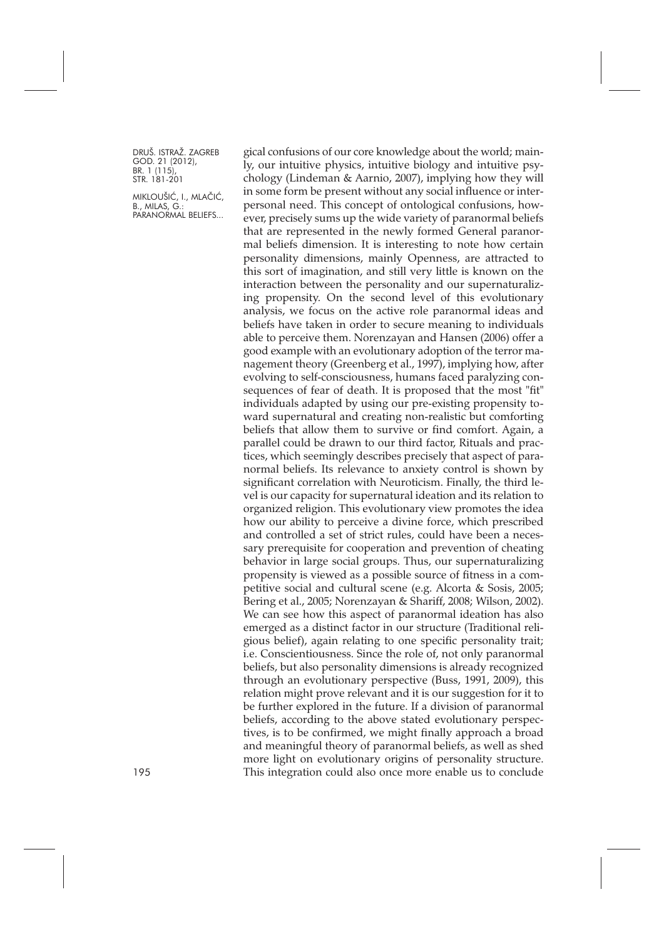MIKLOUŠIĆ, I., MLAČIĆ, B., MILAS, G.: PARANORMAL BELIEFS...

gical confusions of our core knowledge about the world; mainly, our intuitive physics, intuitive biology and intuitive psychology (Lindeman & Aarnio, 2007), implying how they will in some form be present without any social influence or interpersonal need. This concept of ontological confusions, however, precisely sums up the wide variety of paranormal beliefs that are represented in the newly formed General paranormal beliefs dimension. It is interesting to note how certain personality dimensions, mainly Openness, are attracted to this sort of imagination, and still very little is known on the interaction between the personality and our supernaturalizing propensity. On the second level of this evolutionary analysis, we focus on the active role paranormal ideas and beliefs have taken in order to secure meaning to individuals able to perceive them. Norenzayan and Hansen (2006) offer a good example with an evolutionary adoption of the terror management theory (Greenberg et al., 1997), implying how, after evolving to self-consciousness, humans faced paralyzing consequences of fear of death. It is proposed that the most "fit" individuals adapted by using our pre-existing propensity toward supernatural and creating non-realistic but comforting beliefs that allow them to survive or find comfort. Again, a parallel could be drawn to our third factor, Rituals and practices, which seemingly describes precisely that aspect of paranormal beliefs. Its relevance to anxiety control is shown by significant correlation with Neuroticism. Finally, the third level is our capacity for supernatural ideation and its relation to organized religion. This evolutionary view promotes the idea how our ability to perceive a divine force, which prescribed and controlled a set of strict rules, could have been a necessary prerequisite for cooperation and prevention of cheating behavior in large social groups. Thus, our supernaturalizing propensity is viewed as a possible source of fitness in a competitive social and cultural scene (e.g. Alcorta & Sosis, 2005; Bering et al., 2005; Norenzayan & Shariff, 2008; Wilson, 2002). We can see how this aspect of paranormal ideation has also emerged as a distinct factor in our structure (Traditional religious belief), again relating to one specific personality trait; i.e. Conscientiousness. Since the role of, not only paranormal beliefs, but also personality dimensions is already recognized through an evolutionary perspective (Buss, 1991, 2009), this relation might prove relevant and it is our suggestion for it to be further explored in the future. If a division of paranormal beliefs, according to the above stated evolutionary perspectives, is to be confirmed, we might finally approach a broad and meaningful theory of paranormal beliefs, as well as shed more light on evolutionary origins of personality structure. 195 This integration could also once more enable us to conclude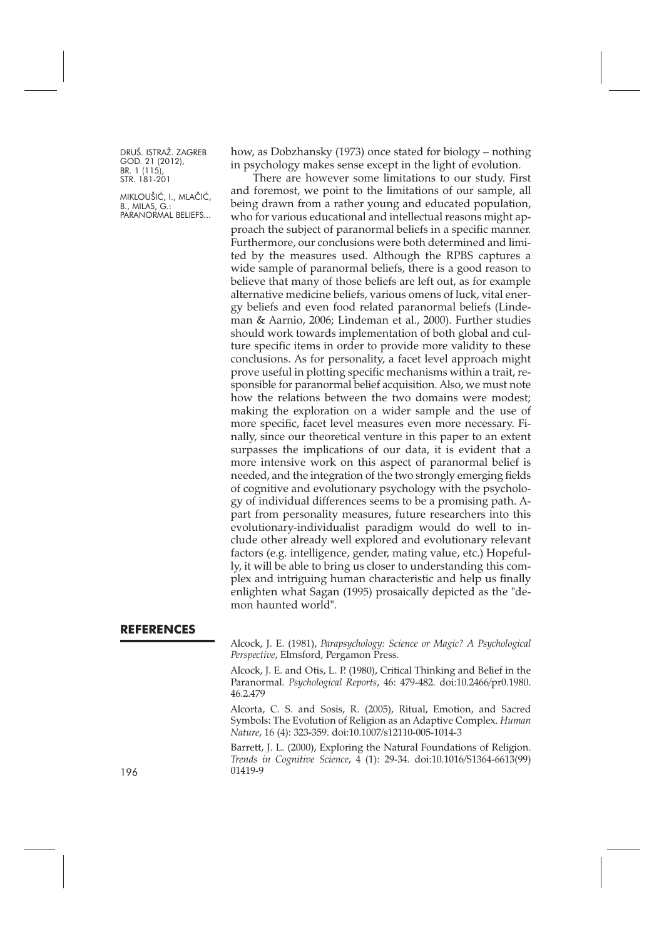MIKLOUŠIĆ, I., MLAČIĆ, B., MILAS, G.: PARANORMAL BELIEFS... how, as Dobzhansky (1973) once stated for biology – nothing in psychology makes sense except in the light of evolution.

There are however some limitations to our study. First and foremost, we point to the limitations of our sample, all being drawn from a rather young and educated population, who for various educational and intellectual reasons might approach the subject of paranormal beliefs in a specific manner. Furthermore, our conclusions were both determined and limited by the measures used. Although the RPBS captures a wide sample of paranormal beliefs, there is a good reason to believe that many of those beliefs are left out, as for example alternative medicine beliefs, various omens of luck, vital energy beliefs and even food related paranormal beliefs (Lindeman & Aarnio, 2006; Lindeman et al., 2000). Further studies should work towards implementation of both global and culture specific items in order to provide more validity to these conclusions. As for personality, a facet level approach might prove useful in plotting specific mechanisms within a trait, responsible for paranormal belief acquisition. Also, we must note how the relations between the two domains were modest; making the exploration on a wider sample and the use of more specific, facet level measures even more necessary. Finally, since our theoretical venture in this paper to an extent surpasses the implications of our data, it is evident that a more intensive work on this aspect of paranormal belief is needed, and the integration of the two strongly emerging fields of cognitive and evolutionary psychology with the psychology of individual differences seems to be a promising path. Apart from personality measures, future researchers into this evolutionary-individualist paradigm would do well to include other already well explored and evolutionary relevant factors (e.g. intelligence, gender, mating value, etc.) Hopefully, it will be able to bring us closer to understanding this complex and intriguing human characteristic and help us finally enlighten what Sagan (1995) prosaically depicted as the "demon haunted world".

# **REFERENCES**

Alcock, J. E. (1981), *Parapsychology: Science or Magic? A Psychological Perspective*, Elmsford, Pergamon Press.

Alcock, J. E. and Otis, L. P. (1980), Critical Thinking and Belief in the Paranormal. *Psychological Reports*, 46: 479-482. [doi:10.2466/pr0.1980.](http://dx.doi.org/10.2466/pr0.1980.46.2.479) [46.2.479](http://dx.doi.org/10.2466/pr0.1980.46.2.479)

Alcorta, C. S. and Sosis, R. (2005), Ritual, Emotion, and Sacred Symbols: The Evolution of Religion as an Adaptive Complex. *Human Nature*, 16 (4): 323-359. [doi:10.1007/s12110-005-1014-3](http://dx.doi.org/10.1007/s12110-005-1014-3)

Barrett, J. L. (2000), Exploring the Natural Foundations of Religion. *Trends in Cognitive Science*, 4 (1): 29-34. [doi:10.1016/S1364-6613\(99\)](http://dx.doi.org/10.1016/S1364-6613(99)01419-9) 196 [01419-9](http://dx.doi.org/10.1016/S1364-6613(99)01419-9)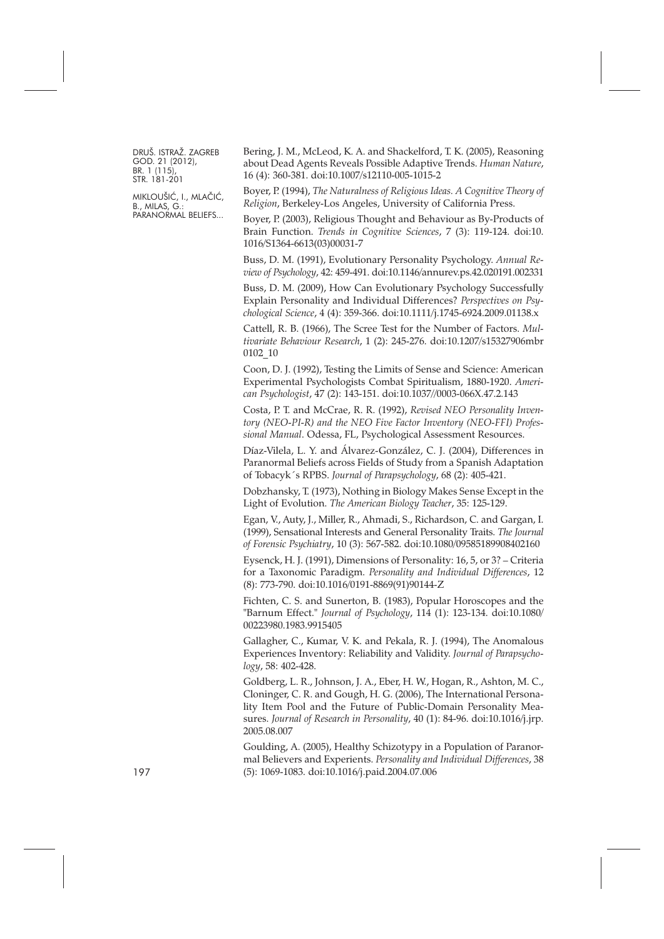MIKLOUŠIĆ, I., MLAČIĆ, B., MILAS, G.: PARANORMAL BELIEFS...

Bering, J. M., McLeod, K. A. and Shackelford, T. K. (2005), Reasoning about Dead Agents Reveals Possible Adaptive Trends. *Human Nature*, 16 (4): 360-381. [doi:10.1007/s12110-005-1015-2](http://dx.doi.org/10.1007/s12110-005-1015-2)

Boyer, P. (1994), *The Naturalness of Religious Ideas. A Cognitive Theory of Religion*, Berkeley-Los Angeles, University of California Press.

Boyer, P. (2003), Religious Thought and Behaviour as By-Products of Brain Function. *Trends in Cognitive Sciences*, 7 (3): 119-124. [doi:10.](http://dx.doi.org/10.1016/S1364-6613(03)00031-7) [1016/S1364-6613\(03\)00031-7](http://dx.doi.org/10.1016/S1364-6613(03)00031-7)

Buss, D. M. (1991), Evolutionary Personality Psychology. *Annual Review of Psychology*, 42: 459-491. [doi:10.1146/annurev.ps.42.020191.002331](http://dx.doi.org/10.1146/annurev.ps.42.020191.002331)

Buss, D. M. (2009), How Can Evolutionary Psychology Successfully Explain Personality and Individual Differences? *Perspectives on Psychological Science*, 4 (4): 359-366. [doi:10.1111/j.1745-6924.2009.01138.x](http://dx.doi.org/10.1111/j.1745-6924.2009.01138.x)

Cattell, R. B. (1966), The Scree Test for the Number of Factors. *Multivariate Behaviour Research*, 1 (2): 245-276. [doi:10.1207/s15327906mbr](http://dx.doi.org/10.1207/s15327906mbr0102_10) [0102\\_10](http://dx.doi.org/10.1207/s15327906mbr0102_10)

Coon, D. J. (1992), Testing the Limits of Sense and Science: American Experimental Psychologists Combat Spiritualism, 1880-1920. *American Psychologist*, 47 (2): 143-151. [doi:10.1037//0003-066X.47.2.143](http://dx.doi.org/10.1037//0003-066X.47.2.143)

Costa, P. T. and McCrae, R. R. (1992), *Revised NEO Personality Inventory (NEO-PI-R) and the NEO Five Factor Inventory (NEO-FFI) Professional Manual*. Odessa, FL, Psychological Assessment Resources.

Díaz-Vilela, L. Y. and Álvarez-González, C. J. (2004), Differences in Paranormal Beliefs across Fields of Study from a Spanish Adaptation of Tobacyk´s RPBS. *Journal of Parapsychology*, 68 (2): 405-421.

Dobzhansky, T. (1973), Nothing in Biology Makes Sense Except in the Light of Evolution. *The American Biology Teacher*, 35: 125-129.

Egan, V., Auty, J., Miller, R., Ahmadi, S., Richardson, C. and Gargan, I. (1999), Sensational Interests and General Personality Traits. *The Journal of Forensic Psychiatry*, 10 (3): 567-582. [doi:10.1080/09585189908402160](http://dx.doi.org/10.1080/09585189908402160)

Eysenck, H. J. (1991), Dimensions of Personality: 16, 5, or 3? – Criteria for a Taxonomic Paradigm. *Personality and Individual Differences*, 12 (8): 773-790. [doi:10.1016/0191-8869\(91\)90144-Z](http://dx.doi.org/10.1016/0191-8869(91)90144-Z)

Fichten, C. S. and Sunerton, B. (1983), Popular Horoscopes and the "Barnum Effect." *Journal of Psychology*, 114 (1): 123-134. [doi:10.1080/](http://dx.doi.org/10.1080/00223980.1983.9915405) [00223980.1983.9915405](http://dx.doi.org/10.1080/00223980.1983.9915405)

Gallagher, C., Kumar, V. K. and Pekala, R. J. (1994), The Anomalous Experiences Inventory: Reliability and Validity. *Journal of Parapsychology*, 58: 402-428.

Goldberg, L. R., Johnson, J. A., Eber, H. W., Hogan, R., Ashton, M. C., Cloninger, C. R. and Gough, H. G. (2006), The International Personality Item Pool and the Future of Public-Domain Personality Measures. *Journal of Research in Personality*, 40 (1): 84-96. [doi:10.1016/j.jrp.](http://dx.doi.org/10.1016/j.jrp.2005.08.007) [2005.08.007](http://dx.doi.org/10.1016/j.jrp.2005.08.007)

Goulding, A. (2005), Healthy Schizotypy in a Population of Paranormal Believers and Experients. *Personality and Individual Differences*, 38 197 (5): 1069-1083. [doi:10.1016/j.paid.2004.07.006](http://dx.doi.org/10.1016/j.paid.2004.07.006)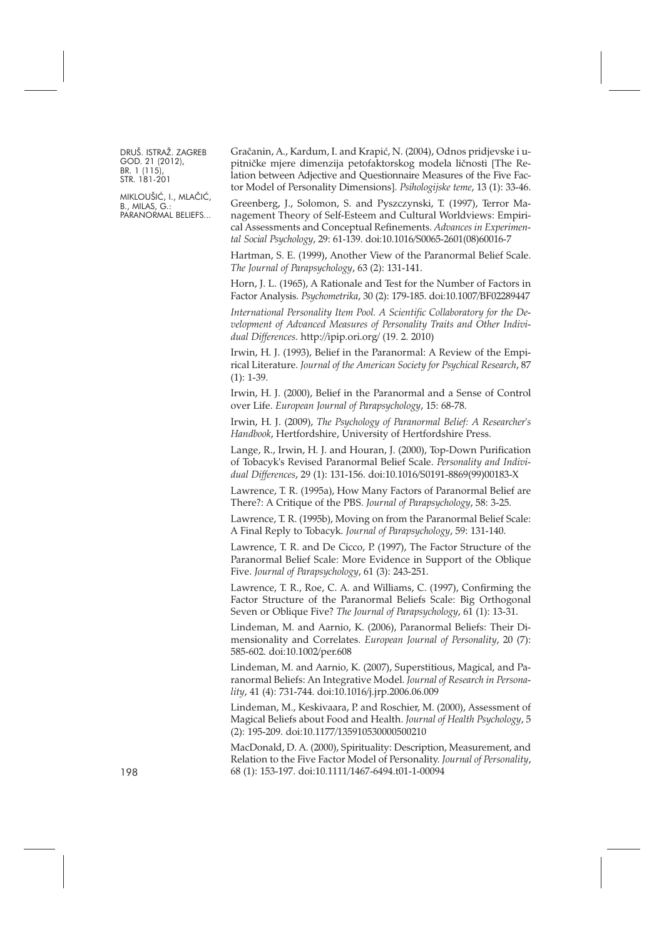MIKLOUŠIĆ, I., MLAČIĆ, B., MILAS, G.: PARANORMAL BELIEFS... Gračanin, A., Kardum, I. and Krapić, N. (2004), Odnos pridjevske i upitničke mjere dimenzija petofaktorskog modela ličnosti [The Relation between Adjective and Questionnaire Measures of the Five Factor Model of Personality Dimensions]. *Psihologijske teme*, 13 (1): 33-46.

Greenberg, J., Solomon, S. and Pyszczynski, T. (1997), Terror Management Theory of Self-Esteem and Cultural Worldviews: Empirical Assessments and Conceptual Refinements. *Advances in Experimental Social Psychology*, 29: 61-139. [doi:10.1016/S0065-2601\(08\)60016-7](http://dx.doi.org/10.1016/S0065-2601(08)60016-7)

Hartman, S. E. (1999), Another View of the Paranormal Belief Scale. *The Journal of Parapsychology*, 63 (2): 131-141.

Horn, J. L. (1965), A Rationale and Test for the Number of Factors in Factor Analysis. *Psychometrika*, 30 (2): 179-185. [doi:10.1007/BF02289447](http://dx.doi.org/10.1007/BF02289447)

*International Personality Item Pool. A Scientific Collaboratory for the Development of Advanced Measures of Personality Traits and Other Individual Differences*. [http://ipip.ori.org/](http://dx.doi.org/10.1007/BF02289447) (19. 2. 2010)

Irwin, H. J. (1993), Belief in the Paranormal: A Review of the Empirical Literature. *Journal of the American Society for Psychical Research*, 87  $(1): 1-39.$ 

Irwin, H. J. (2000), Belief in the Paranormal and a Sense of Control over Life. *European Journal of Parapsychology*, 15: 68-78.

Irwin, H. J. (2009), *The Psychology of Paranormal Belief: A Researcher's Handbook*, Hertfordshire, University of Hertfordshire Press.

Lange, R., Irwin, H. J. and Houran, J. (2000), Top-Down Purification of Tobacyk's Revised Paranormal Belief Scale. *Personality and Individual Differences*, 29 (1): 131-156. [doi:10.1016/S0191-8869\(99\)00183-X](http://dx.doi.org/10.1016/S0191-8869(99)00183-X)

Lawrence, T. R. (1995a), How Many Factors of Paranormal Belief are There?: A Critique of the PBS. *Journal of Parapsychology*, 58: 3-25.

Lawrence, T. R. (1995b), Moving on from the Paranormal Belief Scale: A Final Reply to Tobacyk. *Journal of Parapsychology*, 59: 131-140.

Lawrence, T. R. and De Cicco, P. (1997), The Factor Structure of the Paranormal Belief Scale: More Evidence in Support of the Oblique Five. *Journal of Parapsychology*, 61 (3): 243-251.

Lawrence, T. R., Roe, C. A. and Williams, C. (1997), Confirming the Factor Structure of the Paranormal Beliefs Scale: Big Orthogonal Seven or Oblique Five? *The Journal of Parapsychology*, 61 (1): 13-31.

Lindeman, M. and Aarnio, K. (2006), Paranormal Beliefs: Their Dimensionality and Correlates. *European Journal of Personality*, 20 (7): 585-602. [doi:10.1002/per.608](http://dx.doi.org/10.1002/per.608)

Lindeman, M. and Aarnio, K. (2007), Superstitious, Magical, and Paranormal Beliefs: An Integrative Model. *Journal of Research in Personality*, 41 (4): 731-744. [doi:10.1016/j.jrp.2006.06.009](http://dx.doi.org/10.1016/j.jrp.2006.06.009)

Lindeman, M., Keskivaara, P. and Roschier, M. (2000), Assessment of Magical Beliefs about Food and Health. *Journal of Health Psychology*, 5 (2): 195-209. [doi:10.1177/135910530000500210](http://dx.doi.org/10.1177/135910530000500210)

MacDonald, D. A. (2000), Spirituality: Description, Measurement, and Relation to the Five Factor Model of Personality. *Journal of Personality*, 198 68 (1): 153-197. [doi:10.1111/1467-6494.t01-1-00094](http://dx.doi.org/10.1111/1467-6494.t01-1-00094)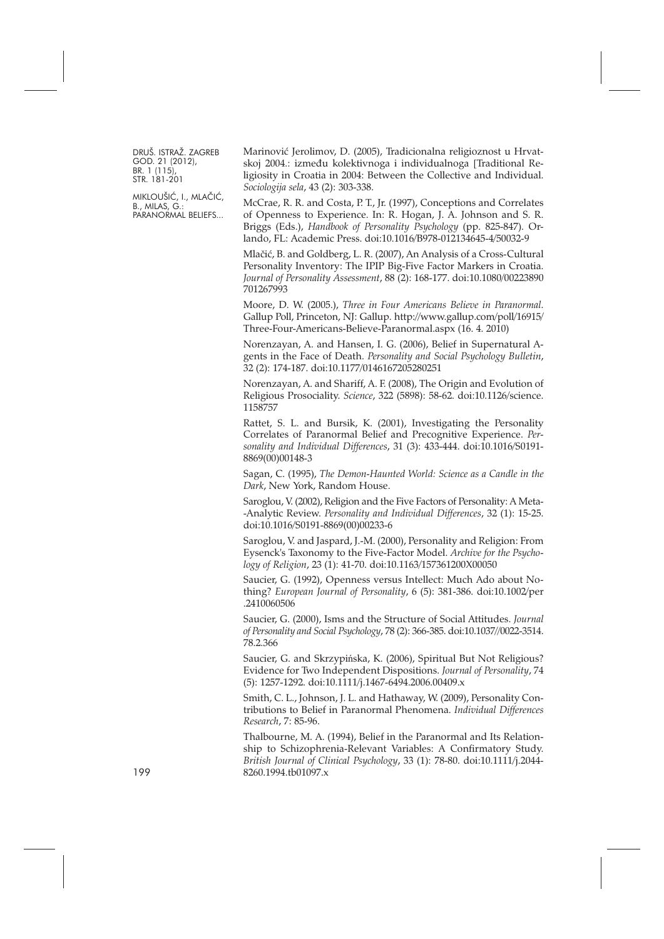MIKLOUŠIĆ, I., MLAČIĆ, B., MILAS, G.: PARANORMAL BELIEFS... Marinović Jerolimov, D. (2005), Tradicionalna religioznost u Hrvatskoj 2004.: između kolektivnoga i individualnoga [Traditional Religiosity in Croatia in 2004: Between the Collective and Individual. *Sociologija sela*, 43 (2): 303-338.

McCrae, R. R. and Costa, P. T., Jr. (1997), Conceptions and Correlates of Openness to Experience. In: R. Hogan, J. A. Johnson and S. R. Briggs (Eds.), *Handbook of Personality Psychology* (pp. 825-847). Orlando, FL: Academic Press. [doi:10.1016/B978-012134645-4/50032-9](http://dx.doi.org/10.1016/B978-012134645-4/50032-9)

Mlačić, B. and Goldberg, L. R. (2007), An Analysis of a Cross-Cultural Personality Inventory: The IPIP Big-Five Factor Markers in Croatia. *Journal of Personality Assessment*, 88 (2): 168-177. [doi:10.1080/00223890](http://dx.doi.org/10.1080/00223890701267993) [701267993](http://dx.doi.org/10.1080/00223890701267993)

Moore, D. W. (2005.), *Three in Four Americans Believe in Paranormal*. Gallup Poll, Princeton, NJ: Gallup. [http://www.gallup.com/poll/16915/](http://www.gallup.com/poll/16915/Three-Four-Americans-Believe-Paranormal.aspx) [Three-Four-Americans-Believe-Paranormal.aspx](http://www.gallup.com/poll/16915/Three-Four-Americans-Believe-Paranormal.aspx) (16. 4. 2010)

Norenzayan, A. and Hansen, I. G. (2006), Belief in Supernatural Agents in the Face of Death. *Personality and Social Psychology Bulletin*, 32 (2): 174-187. [doi:10.1177/0146167205280251](http://dx.doi.org/10.1177/0146167205280251)

Norenzayan, A. and Shariff, A. F. (2008), The Origin and Evolution of Religious Prosociality. *Science*, 322 (5898): 58-62. [doi:10.1126/science.](http://dx.doi.org/10.1126/science.1158757) [1158757](http://dx.doi.org/10.1126/science.1158757)

Rattet, S. L. and Bursik, K. (2001), Investigating the Personality Correlates of Paranormal Belief and Precognitive Experience. *Personality and Individual Differences*, 31 (3): 433-444. [doi:10.1016/S0191-](http://dx.doi.org/10.1016/S0191-8869(00)00148-3) [8869\(00\)00148-3](http://dx.doi.org/10.1016/S0191-8869(00)00148-3)

Sagan, C. (1995), *The Demon-Haunted World: Science as a Candle in the Dark*, New York, Random House.

Saroglou, V. (2002), Religion and the Five Factors of Personality: A Meta- -Analytic Review. *Personality and Individual Differences*, 32 (1): 15-25. [doi:10.1016/S0191-8869\(00\)00233-6](http://dx.doi.org/10.1016/S0191-8869(00)00233-6)

Saroglou, V. and Jaspard, J.-M. (2000), Personality and Religion: From Eysenck's Taxonomy to the Five-Factor Model. *Archive for the Psychology of Religion*, 23 (1): 41-70. [doi:10.1163/157361200X00050](http://dx.doi.org/10.1163/157361200X00050)

Saucier, G. (1992), Openness versus Intellect: Much Ado about Nothing? *European Journal of Personality*, 6 (5): 381-386. [doi:10.1002/per](http://dx.doi.org/10.1002/per.2410060506) [.2410060506](http://dx.doi.org/10.1002/per.2410060506)

Saucier, G. (2000), Isms and the Structure of Social Attitudes. *Journal of Personality and Social Psychology*, 78 (2): 366-385. [doi:10.1037//0022-3514.](http://dx.doi.org/10.1037//0022-3514.78.2.366) [78.2.366](http://dx.doi.org/10.1037//0022-3514.78.2.366)

Saucier, G. and Skrzypińska, K. (2006), Spiritual But Not Religious? Evidence for Two Independent Dispositions. *Journal of Personality*, 74 (5): 1257-1292. [doi:10.1111/j.1467-6494.2006.00409.x](http://dx.doi.org/10.1111/j.1467-6494.2006.00409.x)

Smith, C. L., Johnson, J. L. and Hathaway, W. (2009), Personality Contributions to Belief in Paranormal Phenomena. *Individual Differences Research*, 7: 85-96.

Thalbourne, M. A. (1994), Belief in the Paranormal and Its Relationship to Schizophrenia-Relevant Variables: A Confirmatory Study. *British Journal of Clinical Psychology*, 33 (1): 78-80. [doi:10.1111/j.2044-](http://dx.doi.org/10.1111/j.2044-8260.1994.tb01097.x) 199 [8260.1994.tb01097.x](http://dx.doi.org/10.1111/j.2044-8260.1994.tb01097.x)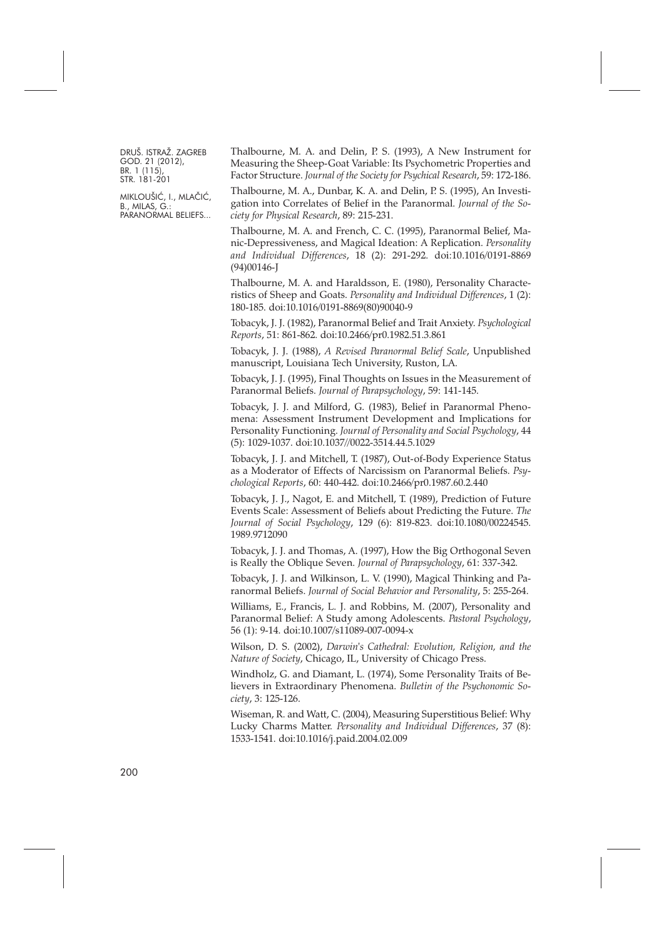MIKLOUŠIĆ, I., MLAČIĆ, B., MILAS, G.: PARANORMAL BELIEFS... Thalbourne, M. A. and Delin, P. S. (1993), A New Instrument for Measuring the Sheep-Goat Variable: Its Psychometric Properties and Factor Structure. *Journal of the Society for Psychical Research*, 59: 172-186.

Thalbourne, M. A., Dunbar, K. A. and Delin, P. S. (1995), An Investigation into Correlates of Belief in the Paranormal. *Journal of the Society for Physical Research*, 89: 215-231.

Thalbourne, M. A. and French, C. C. (1995), Paranormal Belief, Manic-Depressiveness, and Magical Ideation: A Replication. *Personality and Individual Differences*, 18 (2): 291-292. [doi:10.1016/0191-8869](http://dx.doi.org/10.1016/0191-8869(94)00146-J) [\(94\)00146-J](http://dx.doi.org/10.1016/0191-8869(94)00146-J)

Thalbourne, M. A. and Haraldsson, E. (1980), Personality Characteristics of Sheep and Goats. *Personality and Individual Differences*, 1 (2): 180-185. [doi:10.1016/0191-8869\(80\)90040-9](http://dx.doi.org/10.1016/0191-8869(80)90040-9)

Tobacyk, J. J. (1982), Paranormal Belief and Trait Anxiety. *Psychological Reports*, 51: 861-862. [doi:10.2466/pr0.1982.51.3.861](http://dx.doi.org/10.2466/pr0.1982.51.3.861)

Tobacyk, J. J. (1988), *A Revised Paranormal Belief Scale*, Unpublished manuscript, Louisiana Tech University, Ruston, LA.

Tobacyk, J. J. (1995), Final Thoughts on Issues in the Measurement of Paranormal Beliefs. *Journal of Parapsychology*, 59: 141-145.

Tobacyk, J. J. and Milford, G. (1983), Belief in Paranormal Phenomena: Assessment Instrument Development and Implications for Personality Functioning. *Journal of Personality and Social Psychology*, 44 (5): 1029-1037. [doi:10.1037//0022-3514.44.5.1029](http://dx.doi.org/10.1037//0022-3514.44.5.1029)

Tobacyk, J. J. and Mitchell, T. (1987), Out-of-Body Experience Status as a Moderator of Effects of Narcissism on Paranormal Beliefs. *Psychological Reports*, 60: 440-442. [doi:10.2466/pr0.1987.60.2.440](http://dx.doi.org/10.2466/pr0.1987.60.2.440)

Tobacyk, J. J., Nagot, E. and Mitchell, T. (1989), Prediction of Future Events Scale: Assessment of Beliefs about Predicting the Future. *The Journal of Social Psychology*, 129 (6): 819-823. [doi:10.1080/00224545.](http://dx.doi.org/10.1080/00224545.1989.9712090) [1989.9712090](http://dx.doi.org/10.1080/00224545.1989.9712090)

Tobacyk, J. J. and Thomas, A. (1997), How the Big Orthogonal Seven is Really the Oblique Seven. *Journal of Parapsychology*, 61: 337-342.

Tobacyk, J. J. and Wilkinson, L. V. (1990), Magical Thinking and Paranormal Beliefs. *Journal of Social Behavior and Personality*, 5: 255-264.

Williams, E., Francis, L. J. and Robbins, M. (2007), Personality and Paranormal Belief: A Study among Adolescents. *Pastoral Psychology*, 56 (1): 9-14. [doi:10.1007/s11089-007-0094-x](http://dx.doi.org/10.1007/s11089-007-0094-x)

Wilson, D. S. (2002), *Darwin's Cathedral: Evolution, Religion, and the Nature of Society*, Chicago, IL, University of Chicago Press.

Windholz, G. and Diamant, L. (1974), Some Personality Traits of Believers in Extraordinary Phenomena. *Bulletin of the Psychonomic Society*, 3: 125-126.

Wiseman, R. and Watt, C. (2004), Measuring Superstitious Belief: Why Lucky Charms Matter. *Personality and Individual Differences*, 37 (8): 1533-1541. [doi:10.1016/j.paid.2004.02.009](http://dx.doi.org/10.1016/j.paid.2004.02.009)